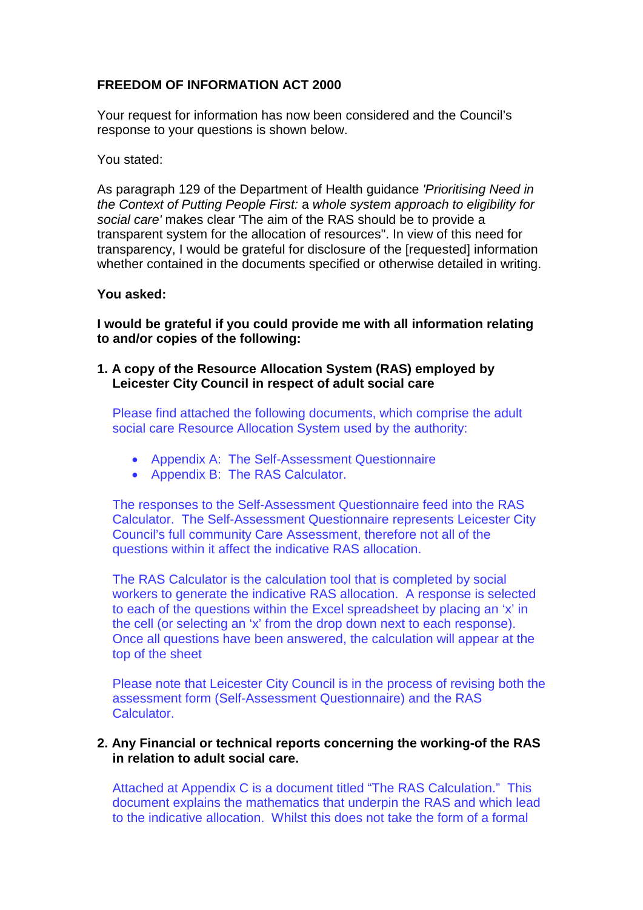# **FREEDOM OF INFORMATION ACT 2000**

Your request for information has now been considered and the Council's response to your questions is shown below.

### You stated:

As paragraph 129 of the Department of Health guidance *'Prioritising Need in the Context of Putting People First:* a *whole system approach to eligibility for social care'* makes clear 'The aim of the RAS should be to provide a transparent system for the allocation of resources". In view of this need for transparency, I would be grateful for disclosure of the [requested] information whether contained in the documents specified or otherwise detailed in writing.

#### **You asked:**

**I would be grateful if you could provide me with all information relating to and/or copies of the following:**

**1. A copy of the Resource Allocation System (RAS) employed by Leicester City Council in respect of adult social care**

Please find attached the following documents, which comprise the adult social care Resource Allocation System used by the authority:

- Appendix A: The Self-Assessment Questionnaire
- Appendix B: The RAS Calculator.

The responses to the Self-Assessment Questionnaire feed into the RAS Calculator. The Self-Assessment Questionnaire represents Leicester City Council's full community Care Assessment, therefore not all of the questions within it affect the indicative RAS allocation.

The RAS Calculator is the calculation tool that is completed by social workers to generate the indicative RAS allocation. A response is selected to each of the questions within the Excel spreadsheet by placing an 'x' in the cell (or selecting an 'x' from the drop down next to each response). Once all questions have been answered, the calculation will appear at the top of the sheet

Please note that Leicester City Council is in the process of revising both the assessment form (Self-Assessment Questionnaire) and the RAS Calculator.

# **2. Any Financial or technical reports concerning the working-of the RAS in relation to adult social care.**

Attached at Appendix C is a document titled "The RAS Calculation." This document explains the mathematics that underpin the RAS and which lead to the indicative allocation. Whilst this does not take the form of a formal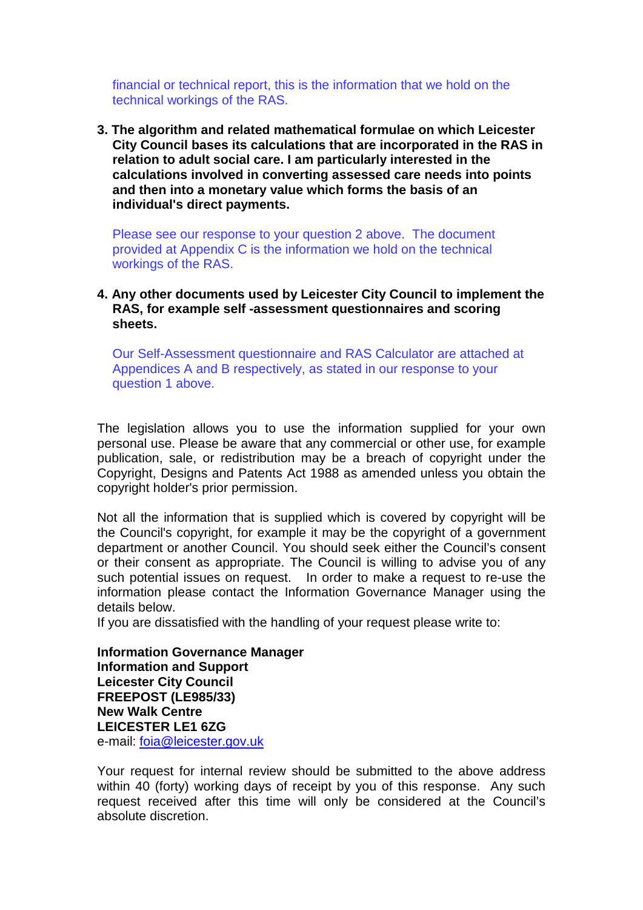financial or technical report, this is the information that we hold on the technical workings of the RAS.

**3. The algorithm and related mathematical formulae on which Leicester City Council bases its calculations that are incorporated in the RAS in relation to adult social care. I am particularly interested in the calculations involved in converting assessed care needs into points and then into a monetary value which forms the basis of an individual's direct payments.**

Please see our response to your question 2 above. The document provided at Appendix C is the information we hold on the technical workings of the RAS.

# **4. Any other documents used by Leicester City Council to implement the RAS, for example self -assessment questionnaires and scoring sheets.**

Our Self-Assessment questionnaire and RAS Calculator are attached at Appendices A and B respectively, as stated in our response to your question 1 above.

The legislation allows you to use the information supplied for your own personal use. Please be aware that any commercial or other use, for example publication, sale, or redistribution may be a breach of copyright under the Copyright, Designs and Patents Act 1988 as amended unless you obtain the copyright holder's prior permission.

Not all the information that is supplied which is covered by copyright will be the Council's copyright, for example it may be the copyright of a government department or another Council. You should seek either the Council's consent or their consent as appropriate. The Council is willing to advise you of any such potential issues on request. In order to make a request to re-use the information please contact the Information Governance Manager using the details below.

If you are dissatisfied with the handling of your request please write to:

**Information Governance Manager Information and Support Leicester City Council FREEPOST (LE985/33) New Walk Centre LEICESTER LE1 6ZG**  e-mail: [foia@leicester.gov.uk](mailto:foia@leicester.gov.uk) 

Your request for internal review should be submitted to the above address within 40 (forty) working days of receipt by you of this response. Any such request received after this time will only be considered at the Council's absolute discretion.